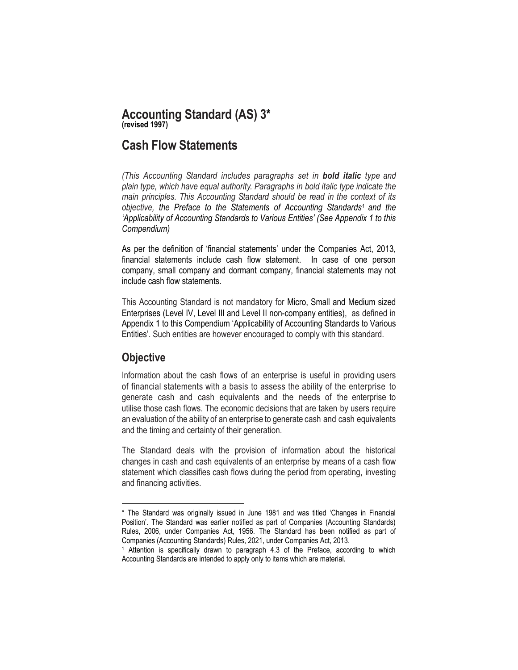#### **Accounting Standard (AS) 3\* (revised 1997)**

# **Cash Flow Statements**

*(This Accounting Standard includes paragraphs set in bold italic type and plain type, which have equal authority. Paragraphs in bold italic type indicate the main principles. This Accounting Standard should be read in the context of its objective, the Preface to the Statements of Accounting Standards<sup>1</sup> and the 'Applicability of Accounting Standards to Various Entities' (See Appendix 1 to this Compendium)*

As per the definition of 'financial statements' under the Companies Act, 2013, financial statements include cash flow statement. In case of one person company, small company and dormant company, financial statements may not include cash flow statements.

This Accounting Standard is not mandatory for Micro, Small and Medium sized Enterprises (Level IV, Level III and Level II non-company entities), as defined in Appendix 1 to this Compendium 'Applicability of Accounting Standards to Various Entities'. Such entities are however encouraged to comply with this standard.

# **Objective**

 $\overline{a}$ 

Information about the cash flows of an enterprise is useful in providing users of financial statements with a basis to assess the ability of the enterprise to generate cash and cash equivalents and the needs of the enterprise to utilise those cash flows. The economic decisions that are taken by users require an evaluation of the ability of an enterprise to generate cash and cash equivalents and the timing and certainty of their generation.

The Standard deals with the provision of information about the historical changes in cash and cash equivalents of an enterprise by means of a cash flow statement which classifies cash flows during the period from operating, investing and financing activities.

<sup>\*</sup> The Standard was originally issued in June 1981 and was titled 'Changes in Financial Position'. The Standard was earlier notified as part of Companies (Accounting Standards) Rules, 2006, under Companies Act, 1956. The Standard has been notified as part of Companies (Accounting Standards) Rules, 2021, under Companies Act, 2013.

<sup>1</sup> Attention is specifically drawn to paragraph 4.3 of the Preface, according to which Accounting Standards are intended to apply only to items which are material.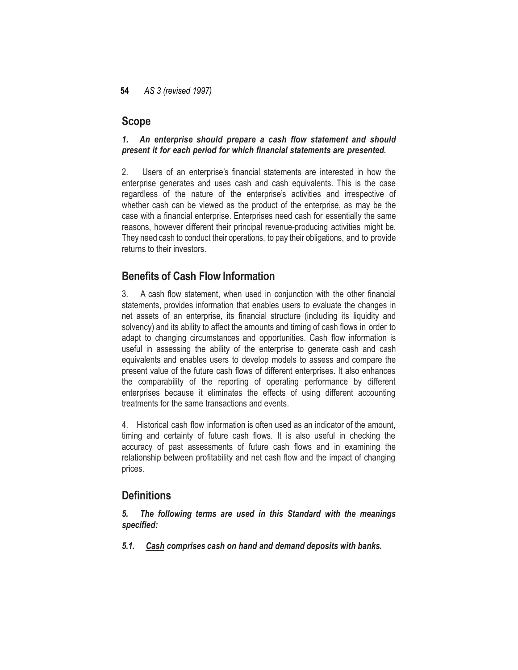#### **Scope**

#### *1. An enterprise should prepare a cash flow statement and should present it for each period for which financial statements are presented.*

2. Users of an enterprise's financial statements are interested in how the enterprise generates and uses cash and cash equivalents. This is the case regardless of the nature of the enterprise's activities and irrespective of whether cash can be viewed as the product of the enterprise, as may be the case with a financial enterprise. Enterprises need cash for essentially the same reasons, however different their principal revenue-producing activities might be. They need cash to conduct their operations, to pay their obligations, and to provide returns to their investors.

### **Benefits of Cash Flow Information**

3. A cash flow statement, when used in conjunction with the other financial statements, provides information that enables users to evaluate the changes in net assets of an enterprise, its financial structure (including its liquidity and solvency) and its ability to affect the amounts and timing of cash flows in order to adapt to changing circumstances and opportunities. Cash flow information is useful in assessing the ability of the enterprise to generate cash and cash equivalents and enables users to develop models to assess and compare the present value of the future cash flows of different enterprises. It also enhances the comparability of the reporting of operating performance by different enterprises because it eliminates the effects of using different accounting treatments for the same transactions and events.

4. Historical cash flow information is often used as an indicator of the amount, timing and certainty of future cash flows. It is also useful in checking the accuracy of past assessments of future cash flows and in examining the relationship between profitability and net cash flow and the impact of changing prices.

### **Definitions**

*5. The following terms are used in this Standard with the meanings specified:*

*5.1. Cash comprises cash on hand and demand deposits with banks.*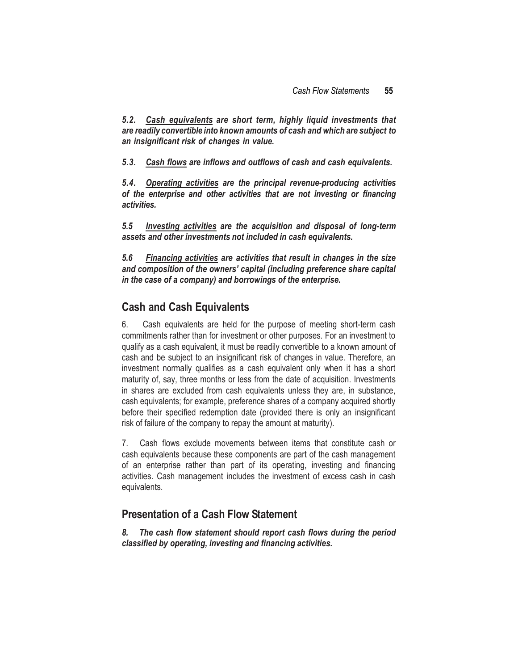*5.2. Cash equivalents are short term, highly liquid investments that are readily convertible into known amounts of cash and which are subject to an insignificant risk of changes in value.*

*5.3. Cash flows are inflows and outflows of cash and cash equivalents.*

*5.4. Operating activities are the principal revenue-producing activities of the enterprise and other activities that are not investing or financing activities.*

*5.5 Investing activities are the acquisition and disposal of long-term assets and other investments not included in cash equivalents.*

*5.6 Financing activities are activities that result in changes in the size and composition of the owners' capital (including preference share capital in the case of a company) and borrowings of the enterprise.*

### **Cash and Cash Equivalents**

6. Cash equivalents are held for the purpose of meeting short-term cash commitments rather than for investment or other purposes. For an investment to qualify as a cash equivalent, it must be readily convertible to a known amount of cash and be subject to an insignificant risk of changes in value. Therefore, an investment normally qualifies as a cash equivalent only when it has a short maturity of, say, three months or less from the date of acquisition. Investments in shares are excluded from cash equivalents unless they are, in substance, cash equivalents; for example, preference shares of a company acquired shortly before their specified redemption date (provided there is only an insignificant risk of failure of the company to repay the amount at maturity).

7. Cash flows exclude movements between items that constitute cash or cash equivalents because these components are part of the cash management of an enterprise rather than part of its operating, investing and financing activities. Cash management includes the investment of excess cash in cash equivalents.

#### **Presentation of a Cash Flow Statement**

*8. The cash flow statement should report cash flows during the period classified by operating, investing and financing activities.*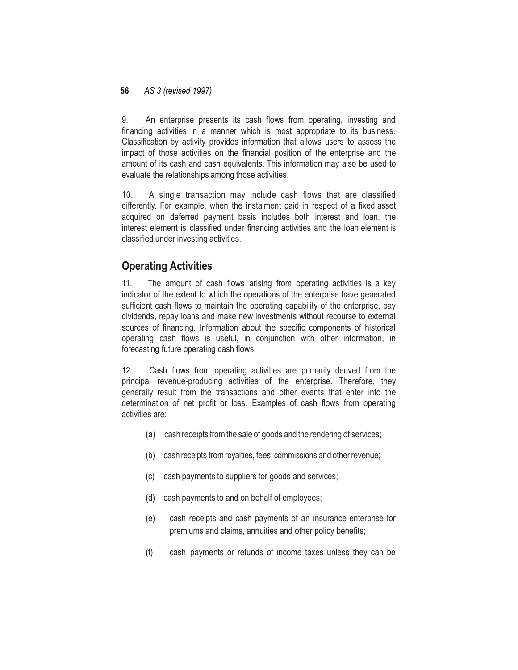9. An enterprise presents its cash flows from operating, investing and financing activities in a manner which is most appropriate to its business. Classification by activity provides information that allows users to assess the impact of those activities on the financial position of the enterprise and the amount of its cash and cash equivalents. This information may also be used to evaluate the relationships among those activities.

10. A single transaction may include cash flows that are classified differently. For example, when the instalment paid in respect of a fixed asset acquired on deferred payment basis includes both interest and loan, the interest element is classified under financing activities and the loan element is classified under investing activities.

# **Operating Activities**

11. The amount of cash flows arising from operating activities is a key indicator of the extent to which the operations of the enterprise have generated sufficient cash flows to maintain the operating capability of the enterprise, pay dividends, repay loans and make new investments without recourse to external sources of financing. Information about the specific components of historical operating cash flows is useful, in conjunction with other information, in forecasting future operating cash flows.

12. Cash flows from operating activities are primarily derived from the principal revenue-producing activities of the enterprise. Therefore, they generally result from the transactions and other events that enter into the determination of net profit or loss. Examples of cash flows from operating activities are:

- (a) cash receipts from the sale of goods and the rendering of services;
- (b) cash receipts fromroyalties, fees, commissions and otherrevenue;
- (c) cash payments to suppliers for goods and services;
- (d) cash payments to and on behalf of employees;
- (e) cash receipts and cash payments of an insurance enterprise for premiums and claims, annuities and other policy benefits;
- (f) cash payments or refunds of income taxes unless they can be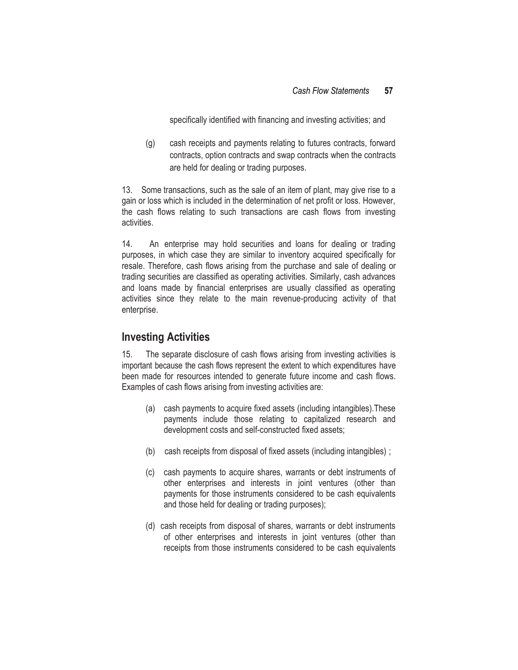specifically identified with financing and investing activities; and

(g) cash receipts and payments relating to futures contracts, forward contracts, option contracts and swap contracts when the contracts are held for dealing or trading purposes.

13. Some transactions, such as the sale of an item of plant, may give rise to a gain or loss which is included in the determination of net profit or loss. However, the cash flows relating to such transactions are cash flows from investing activities.

14. An enterprise may hold securities and loans for dealing or trading purposes, in which case they are similar to inventory acquired specifically for resale. Therefore, cash flows arising from the purchase and sale of dealing or trading securities are classified as operating activities. Similarly, cash advances and loans made by financial enterprises are usually classified as operating activities since they relate to the main revenue-producing activity of that enterprise.

#### **Investing Activities**

15. The separate disclosure of cash flows arising from investing activities is important because the cash flows represent the extent to which expenditures have been made for resources intended to generate future income and cash flows. Examples of cash flows arising from investing activities are:

- (a) cash payments to acquire fixed assets (including intangibles).These payments include those relating to capitalized research and development costs and self-constructed fixed assets;
- (b) cash receipts from disposal of fixed assets (including intangibles) ;
- (c) cash payments to acquire shares, warrants or debt instruments of other enterprises and interests in joint ventures (other than payments for those instruments considered to be cash equivalents and those held for dealing or trading purposes);
- (d) cash receipts from disposal of shares, warrants or debt instruments of other enterprises and interests in joint ventures (other than receipts from those instruments considered to be cash equivalents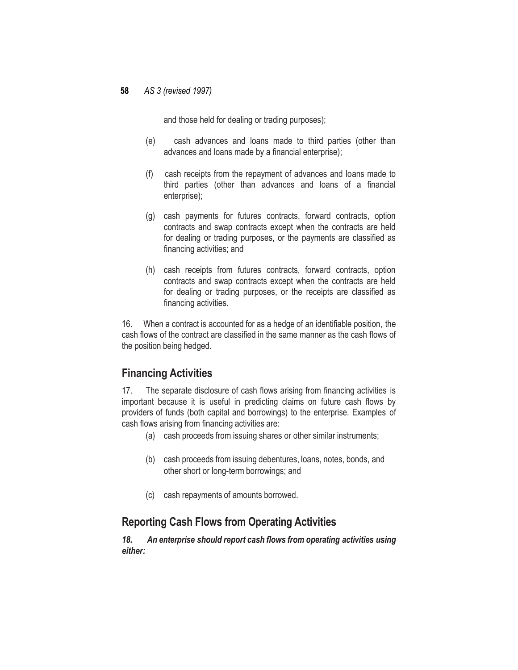and those held for dealing or trading purposes);

- (e) cash advances and loans made to third parties (other than advances and loans made by a financial enterprise);
- (f) cash receipts from the repayment of advances and loans made to third parties (other than advances and loans of a financial enterprise);
- (g) cash payments for futures contracts, forward contracts, option contracts and swap contracts except when the contracts are held for dealing or trading purposes, or the payments are classified as financing activities; and
- (h) cash receipts from futures contracts, forward contracts, option contracts and swap contracts except when the contracts are held for dealing or trading purposes, or the receipts are classified as financing activities.

16. When a contract is accounted for as a hedge of an identifiable position, the cash flows of the contract are classified in the same manner as the cash flows of the position being hedged.

### **Financing Activities**

17. The separate disclosure of cash flows arising from financing activities is important because it is useful in predicting claims on future cash flows by providers of funds (both capital and borrowings) to the enterprise. Examples of cash flows arising from financing activities are:

- (a) cash proceeds from issuing shares or other similar instruments;
- (b) cash proceeds from issuing debentures, loans, notes, bonds, and other short or long-term borrowings; and
- (c) cash repayments of amounts borrowed.

#### **Reporting Cash Flows from Operating Activities**

*18. An enterprise should report cash flows from operating activities using either:*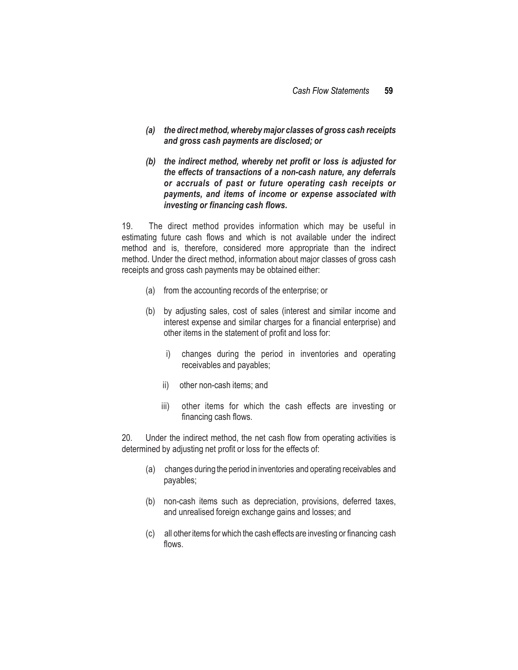- *(a) the direct method,whereby major classes of gross cash receipts and gross cash payments are disclosed; or*
- *(b) the indirect method, whereby net profit or loss is adjusted for the effects of transactions of a non-cash nature, any deferrals or accruals of past or future operating cash receipts or payments, and items of income or expense associated with investing or financing cash flows.*

19. The direct method provides information which may be useful in estimating future cash flows and which is not available under the indirect method and is, therefore, considered more appropriate than the indirect method. Under the direct method, information about major classes of gross cash receipts and gross cash payments may be obtained either:

- (a) from the accounting records of the enterprise; or
- (b) by adjusting sales, cost of sales (interest and similar income and interest expense and similar charges for a financial enterprise) and other items in the statement of profit and loss for:
	- i) changes during the period in inventories and operating receivables and payables;
	- ii) other non-cash items; and
	- iii) other items for which the cash effects are investing or financing cash flows.

20. Under the indirect method, the net cash flow from operating activities is determined by adjusting net profit or loss for the effects of:

- (a) changes during the period in inventories and operating receivables and payables;
- (b) non-cash items such as depreciation, provisions, deferred taxes, and unrealised foreign exchange gains and losses; and
- (c) all other items for which the cash effects are investing or financing cash flows.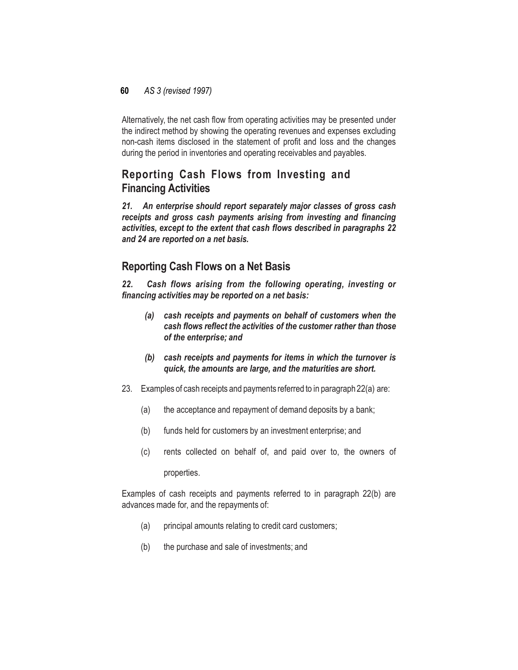Alternatively, the net cash flow from operating activities may be presented under the indirect method by showing the operating revenues and expenses excluding non-cash items disclosed in the statement of profit and loss and the changes during the period in inventories and operating receivables and payables.

# **Reporting Cash Flows from Investing and Financing Activities**

*21. An enterprise should report separately major classes of gross cash receipts and gross cash payments arising from investing and financing activities, except to the extent that cash flows described in paragraphs 22 and 24 are reported on a net basis.*

## **Reporting Cash Flows on a Net Basis**

*22. Cash flows arising from the following operating, investing or financing activities may be reported on a net basis:*

- *(a) cash receipts and payments on behalf of customers when the cash flows reflect the activities of the customer rather than those of the enterprise; and*
- *(b) cash receipts and payments for items in which the turnover is quick, the amounts are large, and the maturities are short.*
- 23. Examples of cash receipts and payments referred to in paragraph 22(a) are:
	- (a) the acceptance and repayment of demand deposits by a bank;
	- (b) funds held for customers by an investment enterprise; and
	- (c) rents collected on behalf of, and paid over to, the owners of

properties.

Examples of cash receipts and payments referred to in paragraph 22(b) are advances made for, and the repayments of:

- (a) principal amounts relating to credit card customers;
- (b) the purchase and sale of investments; and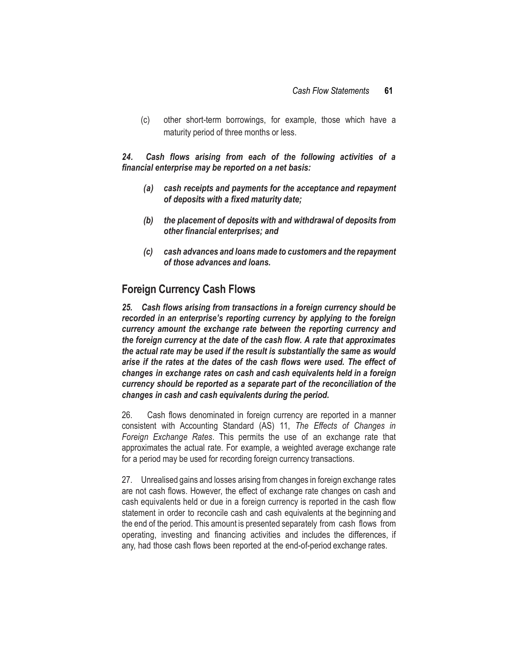(c) other short-term borrowings, for example, those which have a maturity period of three months or less.

*24. Cash flows arising from each of the following activities of a financial enterprise may be reported on a net basis:*

- *(a) cash receipts and payments for the acceptance and repayment of deposits with a fixed maturity date;*
- *(b) the placement of deposits with and withdrawal of deposits from other financial enterprises; and*
- *(c) cash advances and loans made to customers and the repayment of those advances and loans.*

#### **Foreign Currency Cash Flows**

*25. Cash flows arising from transactions in a foreign currency should be recorded in an enterprise's reporting currency by applying to the foreign currency amount the exchange rate between the reporting currency and the foreign currency at the date of the cash flow. A rate that approximates the actual rate may be used if the result is substantially the same as would arise if the rates at the dates of the cash flows were used. The effect of changes in exchange rates on cash and cash equivalents held in a foreign currency should be reported as a separate part of the reconciliation of the changes in cash and cash equivalents during the period.*

26. Cash flows denominated in foreign currency are reported in a manner consistent with Accounting Standard (AS) 11, *The Effects of Changes in Foreign Exchange Rates*. This permits the use of an exchange rate that approximates the actual rate. For example, a weighted average exchange rate for a period may be used for recording foreign currency transactions.

27. Unrealised gains and losses arising from changes in foreign exchange rates are not cash flows. However, the effect of exchange rate changes on cash and cash equivalents held or due in a foreign currency is reported in the cash flow statement in order to reconcile cash and cash equivalents at the beginning and the end of the period. This amount is presented separately from cash flows from operating, investing and financing activities and includes the differences, if any, had those cash flows been reported at the end-of-period exchange rates.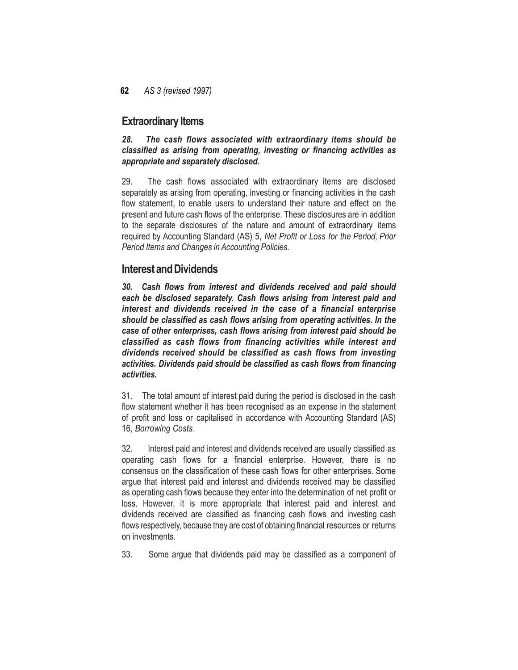#### **Extraordinary Items**

#### *28. The cash flows associated with extraordinary items should be classified as arising from operating, investing or financing activities as appropriate and separately disclosed.*

29. The cash flows associated with extraordinary items are disclosed separately as arising from operating, investing or financing activities in the cash flow statement, to enable users to understand their nature and effect on the present and future cash flows of the enterprise. These disclosures are in addition to the separate disclosures of the nature and amount of extraordinary items required by Accounting Standard (AS) 5, *Net Profit or Loss for the Period, Prior Period Items and Changes in Accounting Policies.*

#### **InterestandDividends**

*30. Cash flows from interest and dividends received and paid should each be disclosed separately. Cash flows arising from interest paid and interest and dividends received in the case of a financial enterprise should be classified as cash flows arising from operating activities. In the case of other enterprises, cash flows arising from interest paid should be classified as cash flows from financing activities while interest and dividends received should be classified as cash flows from investing activities. Dividends paid should be classified as cash flows from financing activities.*

31. The total amount of interest paid during the period is disclosed in the cash flow statement whether it has been recognised as an expense in the statement of profit and loss or capitalised in accordance with Accounting Standard (AS) 16, *Borrowing Costs*.

32. Interest paid and interest and dividends received are usually classified as operating cash flows for a financial enterprise. However, there is no consensus on the classification of these cash flows for other enterprises. Some argue that interest paid and interest and dividends received may be classified as operating cash flows because they enter into the determination of net profit or loss. However, it is more appropriate that interest paid and interest and dividends received are classified as financing cash flows and investing cash flows respectively, because they are cost of obtaining financial resources or returns on investments.

33. Some argue that dividends paid may be classified as a component of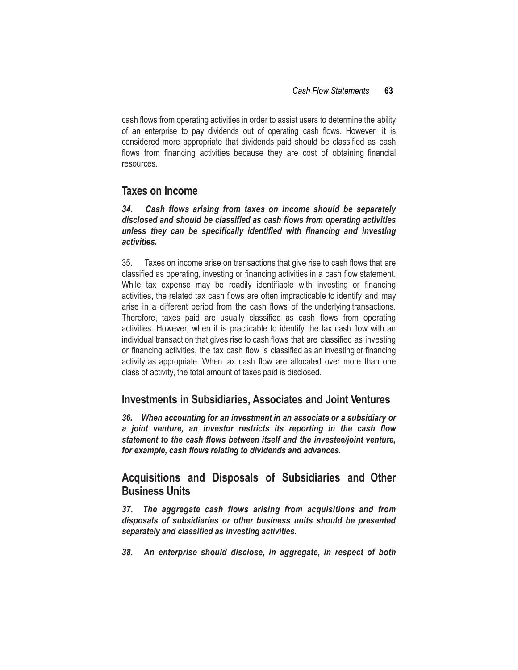cash flows from operating activities in order to assist users to determine the ability of an enterprise to pay dividends out of operating cash flows. However, it is considered more appropriate that dividends paid should be classified as cash flows from financing activities because they are cost of obtaining financial resources.

### **Taxes on Income**

*34. Cash flows arising from taxes on income should be separately disclosed and should be classified as cash flows from operating activities unless they can be specifically identified with financing and investing activities.*

35. Taxes on income arise on transactions that give rise to cash flows that are classified as operating, investing or financing activities in a cash flow statement. While tax expense may be readily identifiable with investing or financing activities, the related tax cash flows are often impracticable to identify and may arise in a different period from the cash flows of the underlying transactions. Therefore, taxes paid are usually classified as cash flows from operating activities. However, when it is practicable to identify the tax cash flow with an individual transaction that gives rise to cash flows that are classified as investing or financing activities, the tax cash flow is classified as an investing or financing activity as appropriate. When tax cash flow are allocated over more than one class of activity, the total amount of taxes paid is disclosed.

### **Investments in Subsidiaries, Associates and Joint Ventures**

*36. When accounting for an investment in an associate or a subsidiary or a joint venture, an investor restricts its reporting in the cash flow statement to the cash flows between itself and the investee/joint venture, for example, cash flows relating to dividends and advances.*

## **Acquisitions and Disposals of Subsidiaries and Other Business Units**

*37. The aggregate cash flows arising from acquisitions and from disposals of subsidiaries or other business units should be presented separately and classified as investing activities.*

*38. An enterprise should disclose, in aggregate, in respect of both*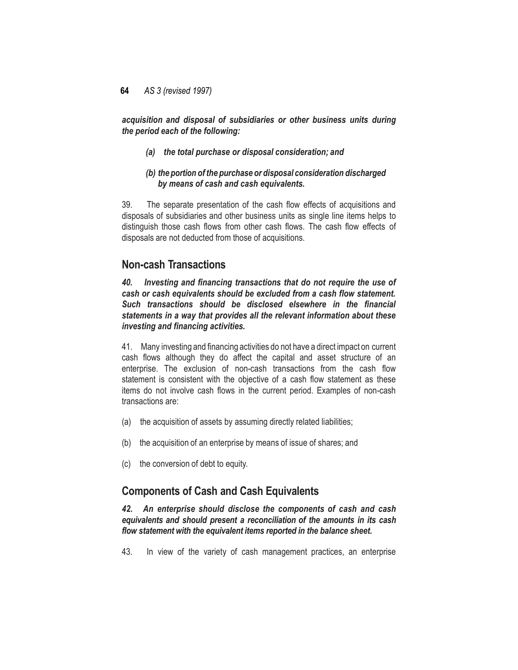*acquisition and disposal of subsidiaries or other business units during the period each of the following:*

- *(a) the total purchase or disposal consideration; and*
- *(b) the portion of the purchase or disposal consideration discharged by means of cash and cash equivalents.*

39. The separate presentation of the cash flow effects of acquisitions and disposals of subsidiaries and other business units as single line items helps to distinguish those cash flows from other cash flows. The cash flow effects of disposals are not deducted from those of acquisitions.

### **Non-cash Transactions**

*40. Investing and financing transactions that do not require the use of cash or cash equivalents should be excluded from a cash flow statement. Such transactions should be disclosed elsewhere in the financial statements in a way that provides all the relevant information about these investing and financing activities.*

41. Many investing and financing activities do not have a direct impact on current cash flows although they do affect the capital and asset structure of an enterprise. The exclusion of non-cash transactions from the cash flow statement is consistent with the objective of a cash flow statement as these items do not involve cash flows in the current period. Examples of non-cash transactions are:

- (a) the acquisition of assets by assuming directly related liabilities;
- (b) the acquisition of an enterprise by means of issue of shares; and
- (c) the conversion of debt to equity.

### **Components of Cash and Cash Equivalents**

*42. An enterprise should disclose the components of cash and cash equivalents and should present a reconciliation of the amounts in its cash flow statement with the equivalent items reported in the balance sheet.*

43. In view of the variety of cash management practices, an enterprise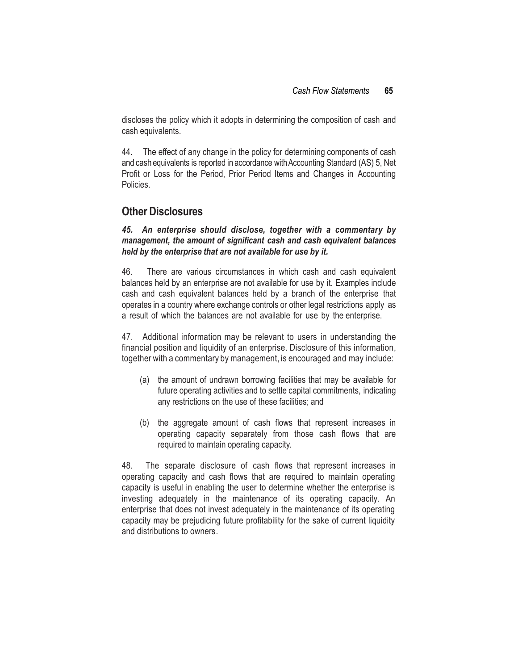discloses the policy which it adopts in determining the composition of cash and cash equivalents.

44. The effect of any change in the policy for determining components of cash and cash equivalents is reported in accordance withAccounting Standard (AS) 5, Net Profit or Loss for the Period, Prior Period Items and Changes in Accounting Policies.

#### **Other Disclosures**

*45. An enterprise should disclose, together with a commentary by management, the amount of significant cash and cash equivalent balances held by the enterprise that are not available for use by it.*

46. There are various circumstances in which cash and cash equivalent balances held by an enterprise are not available for use by it. Examples include cash and cash equivalent balances held by a branch of the enterprise that operates in a country where exchange controls or other legal restrictions apply as a result of which the balances are not available for use by the enterprise.

47. Additional information may be relevant to users in understanding the financial position and liquidity of an enterprise. Disclosure of this information, together with a commentary by management, is encouraged and may include:

- (a) the amount of undrawn borrowing facilities that may be available for future operating activities and to settle capital commitments, indicating any restrictions on the use of these facilities; and
- (b) the aggregate amount of cash flows that represent increases in operating capacity separately from those cash flows that are required to maintain operating capacity.

48. The separate disclosure of cash flows that represent increases in operating capacity and cash flows that are required to maintain operating capacity is useful in enabling the user to determine whether the enterprise is investing adequately in the maintenance of its operating capacity. An enterprise that does not invest adequately in the maintenance of its operating capacity may be prejudicing future profitability for the sake of current liquidity and distributions to owners.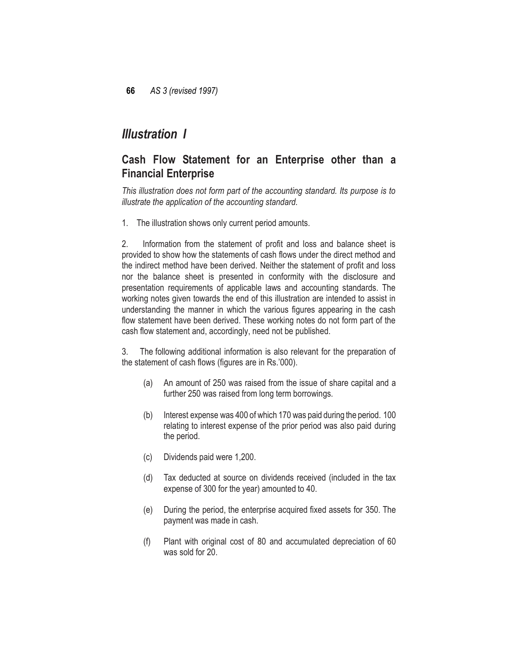## *Illustration I*

## **Cash Flow Statement for an Enterprise other than a Financial Enterprise**

*This illustration does not form part of the accounting standard. Its purpose is to illustrate the application of the accounting standard.*

1. The illustration shows only current period amounts.

2. Information from the statement of profit and loss and balance sheet is provided to show how the statements of cash flows under the direct method and the indirect method have been derived. Neither the statement of profit and loss nor the balance sheet is presented in conformity with the disclosure and presentation requirements of applicable laws and accounting standards. The working notes given towards the end of this illustration are intended to assist in understanding the manner in which the various figures appearing in the cash flow statement have been derived. These working notes do not form part of the cash flow statement and, accordingly, need not be published.

3. The following additional information is also relevant for the preparation of the statement of cash flows (figures are in Rs.'000).

- (a) An amount of 250 was raised from the issue of share capital and a further 250 was raised from long term borrowings.
- (b) Interest expense was 400 of which 170 was paid during the period. 100 relating to interest expense of the prior period was also paid during the period.
- (c) Dividends paid were 1,200.
- (d) Tax deducted at source on dividends received (included in the tax expense of 300 for the year) amounted to 40.
- (e) During the period, the enterprise acquired fixed assets for 350. The payment was made in cash.
- (f) Plant with original cost of 80 and accumulated depreciation of 60 was sold for 20.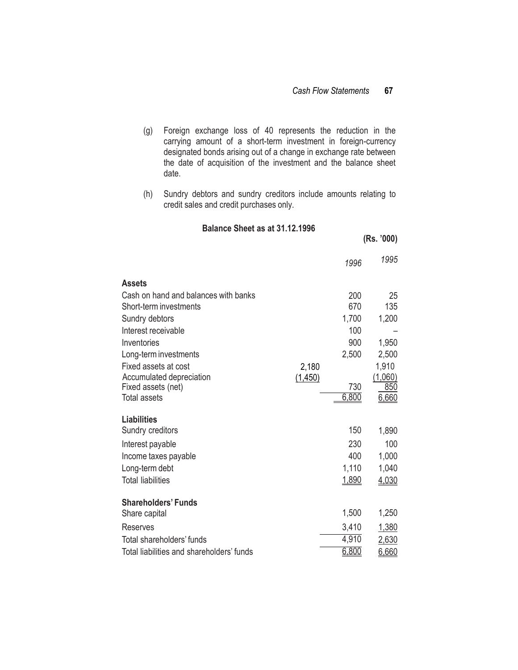- (g) Foreign exchange loss of 40 represents the reduction in the carrying amount of a short-term investment in foreign-currency designated bonds arising out of a change in exchange rate between the date of acquisition of the investment and the balance sheet date.
- (h) Sundry debtors and sundry creditors include amounts relating to credit sales and credit purchases only.

| Balance Sheet as at 31.12.1996            |         |              |              |
|-------------------------------------------|---------|--------------|--------------|
|                                           |         |              | (Rs. '000)   |
|                                           |         | 1996         | 1995         |
| Assets                                    |         |              |              |
| Cash on hand and balances with banks      |         | 200          | 25           |
| Short-term investments                    |         | 670          | 135          |
| Sundry debtors                            |         | 1,700        | 1,200        |
| Interest receivable                       |         | 100          |              |
| Inventories                               |         | 900          | 1,950        |
| Long-term investments                     |         | 2,500        | 2,500        |
| Fixed assets at cost                      | 2,180   |              | 1,910        |
| Accumulated depreciation                  | (1,450) |              | (1,060)      |
| Fixed assets (net)<br><b>Total assets</b> |         | 730<br>6,800 | 850<br>6,660 |
|                                           |         |              |              |
| <b>Liabilities</b>                        |         |              |              |
| Sundry creditors                          |         | 150          | 1,890        |
| Interest payable                          |         | 230          | 100          |
| Income taxes payable                      |         | 400          | 1,000        |
| Long-term debt                            |         | 1,110        | 1,040        |
| <b>Total liabilities</b>                  |         | 1,890        | 4.030        |
| <b>Shareholders' Funds</b>                |         |              |              |
| Share capital                             |         | 1,500        | 1,250        |
| Reserves                                  |         | 3,410        | 1,380        |
| Total shareholders' funds                 |         | 4,910        | 2,630        |
| Total liabilities and shareholders' funds |         | 6,800        | 6,660        |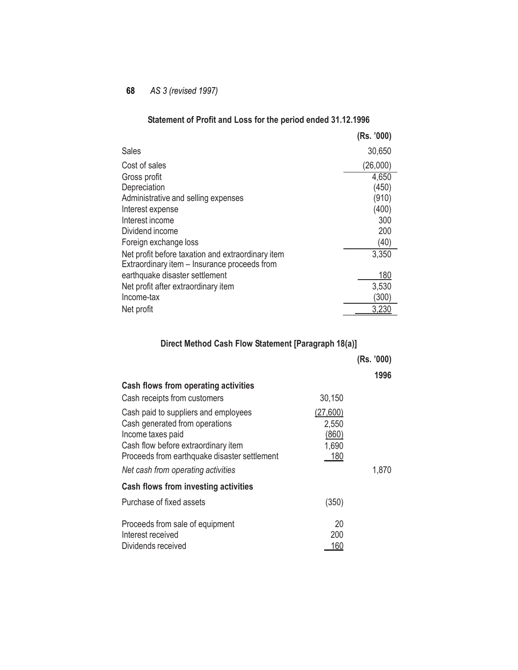|                                                   | (Rs. '000) |
|---------------------------------------------------|------------|
| Sales                                             | 30,650     |
| Cost of sales                                     | (26,000)   |
| Gross profit                                      | 4,650      |
| Depreciation                                      | (450)      |
| Administrative and selling expenses               | (910)      |
| Interest expense                                  | (400)      |
| Interest income                                   | 300        |
| Dividend income                                   | 200        |
| Foreign exchange loss                             | (40)       |
| Net profit before taxation and extraordinary item | 3,350      |
| Extraordinary item - Insurance proceeds from      |            |
| earthquake disaster settlement                    | 180        |
| Net profit after extraordinary item               | 3,530      |
| Income-tax                                        | (300)      |
| Net profit                                        | 3,230      |

### **Statement of Profit and Loss for the period ended 31.12.1996**

### **Direct Method Cash Flow Statement [Paragraph 18(a)]**

|                                              |            | (Rs. '000) |
|----------------------------------------------|------------|------------|
|                                              |            | 1996       |
| Cash flows from operating activities         |            |            |
| Cash receipts from customers                 | 30,150     |            |
| Cash paid to suppliers and employees         | (27,600)   |            |
| Cash generated from operations               | 2,550      |            |
| Income taxes paid                            | (860)      |            |
| Cash flow before extraordinary item          | 1,690      |            |
| Proceeds from earthquake disaster settlement | <u>180</u> |            |
| Net cash from operating activities           |            | 1,870      |
| Cash flows from investing activities         |            |            |
| Purchase of fixed assets                     | (350)      |            |
| Proceeds from sale of equipment              | 20         |            |
| Interest received                            | 200        |            |
| Dividends received                           | 160        |            |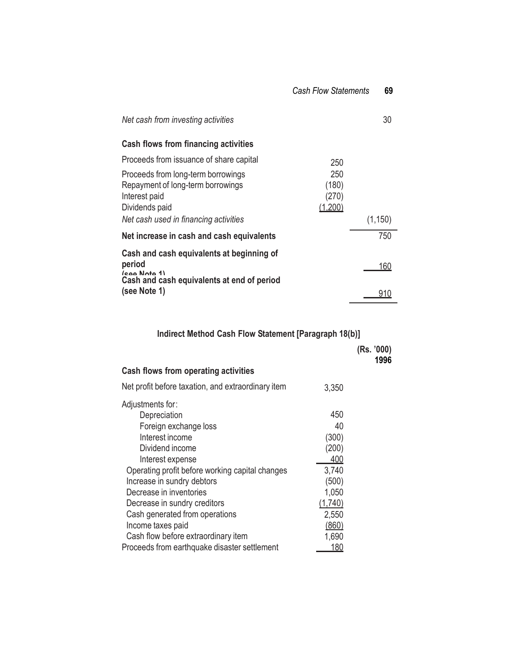| Net cash from investing activities                                       |          | 30       |
|--------------------------------------------------------------------------|----------|----------|
| Cash flows from financing activities                                     |          |          |
| Proceeds from issuance of share capital                                  | 250      |          |
| Proceeds from long-term borrowings                                       | 250      |          |
| Repayment of long-term borrowings                                        | (180)    |          |
| Interest paid                                                            | (270)    |          |
| Dividends paid                                                           | (1, 200) |          |
| Net cash used in financing activities                                    |          | (1, 150) |
| Net increase in cash and cash equivalents                                |          | 750      |
| Cash and cash equivalents at beginning of                                |          |          |
| period                                                                   |          | 160      |
| $(0.00 \text{ N} \cdot 4)$<br>Cash and cash equivalents at end of period |          |          |
| (see Note 1)                                                             |          | 910      |

**Indirect Method Cash Flow Statement [Paragraph 18(b)]**

|                                                    |         | (Rs. '000)<br>1996 |
|----------------------------------------------------|---------|--------------------|
| Cash flows from operating activities               |         |                    |
| Net profit before taxation, and extraordinary item | 3,350   |                    |
| Adjustments for:                                   |         |                    |
| Depreciation                                       | 450     |                    |
| Foreign exchange loss                              | 40      |                    |
| Interest income                                    | (300)   |                    |
| Dividend income                                    | (200)   |                    |
| Interest expense                                   | 400     |                    |
| Operating profit before working capital changes    | 3,740   |                    |
| Increase in sundry debtors                         | (500)   |                    |
| Decrease in inventories                            | 1,050   |                    |
| Decrease in sundry creditors                       | (1,740) |                    |
| Cash generated from operations                     | 2,550   |                    |
| Income taxes paid                                  | (860)   |                    |
| Cash flow before extraordinary item                | 1,690   |                    |
| Proceeds from earthquake disaster settlement       | 180     |                    |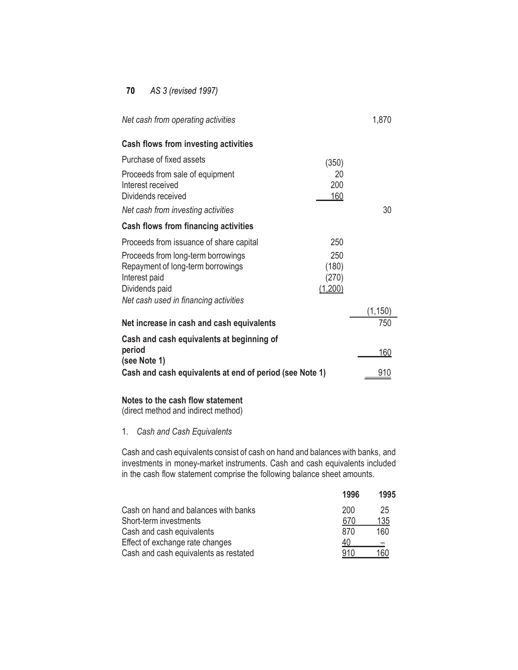| Net cash from operating activities                                                                                                                                                             |                                         | 1,870    |
|------------------------------------------------------------------------------------------------------------------------------------------------------------------------------------------------|-----------------------------------------|----------|
| Cash flows from investing activities                                                                                                                                                           |                                         |          |
| Purchase of fixed assets                                                                                                                                                                       | (350)                                   |          |
| Proceeds from sale of equipment<br>Interest received<br>Dividends received                                                                                                                     | 20<br>200<br>160                        |          |
| Net cash from investing activities                                                                                                                                                             |                                         | 30       |
| <b>Cash flows from financing activities</b>                                                                                                                                                    |                                         |          |
| Proceeds from issuance of share capital<br>Proceeds from long-term borrowings<br>Repayment of long-term borrowings<br>Interest paid<br>Dividends paid<br>Net cash used in financing activities | 250<br>250<br>(180)<br>(270)<br>(1,200) |          |
|                                                                                                                                                                                                |                                         | (1, 150) |
| Net increase in cash and cash equivalents                                                                                                                                                      |                                         | 750      |
| Cash and cash equivalents at beginning of<br>period<br>(see Note 1)                                                                                                                            |                                         | 160      |
| Cash and cash equivalents at end of period (see Note 1)                                                                                                                                        |                                         | 910      |

#### **Notes to the cash flow statement**

(direct method and indirect method)

#### 1. *Cash and Cash Equivalents*

Cash and cash equivalents consist of cash on hand and balances with banks, and investments in money-market instruments. Cash and cash equivalents included in the cash flow statement comprise the following balance sheet amounts.

|                                       | 1996 | 1995 |
|---------------------------------------|------|------|
| Cash on hand and balances with banks  | 200  | 25   |
| Short-term investments                | 670  | 135  |
| Cash and cash equivalents             | 870  | 160  |
| Effect of exchange rate changes       |      |      |
| Cash and cash equivalents as restated |      | 160  |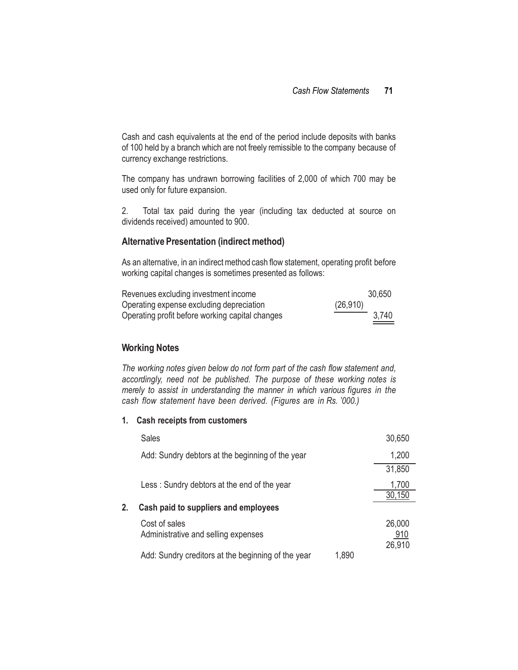Cash and cash equivalents at the end of the period include deposits with banks of 100 held by a branch which are not freely remissible to the company because of currency exchange restrictions.

The company has undrawn borrowing facilities of 2,000 of which 700 may be used only for future expansion.

2. Total tax paid during the year (including tax deducted at source on dividends received) amounted to 900.

#### **Alternative Presentation (indirect method)**

As an alternative, in an indirect method cash flow statement, operating profit before working capital changes is sometimes presented as follows:

| Revenues excluding investment income            | 30,650    |
|-------------------------------------------------|-----------|
| Operating expense excluding depreciation        | (26, 910) |
| Operating profit before working capital changes | 3,740     |

#### **Working Notes**

*The working notes given below do not form part of the cash flow statement and, accordingly, need not be published. The purpose of these working notes is merely to assist in understanding the manner in which various figures in the cash flow statement have been derived. (Figures are in Rs. '000.)*

#### **1. Cash receipts from customers**

|    | <b>Sales</b>                                       |       | 30,650 |
|----|----------------------------------------------------|-------|--------|
|    | Add: Sundry debtors at the beginning of the year   |       | 1,200  |
|    |                                                    |       | 31,850 |
|    | Less: Sundry debtors at the end of the year        |       | 1,700  |
|    |                                                    |       | ,150   |
| 2. | Cash paid to suppliers and employees               |       |        |
|    | Cost of sales                                      |       | 26,000 |
|    | Administrative and selling expenses                |       | 910    |
|    |                                                    |       | 26,910 |
|    | Add: Sundry creditors at the beginning of the year | 1,890 |        |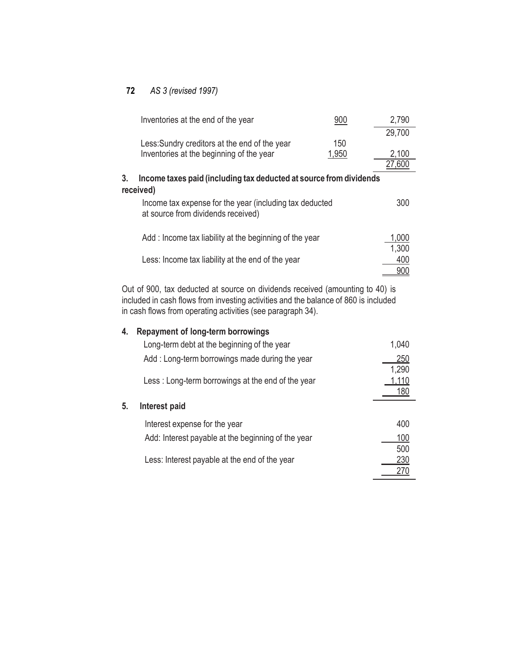| Inventories at the end of the year                                                            |       | 2,790          |
|-----------------------------------------------------------------------------------------------|-------|----------------|
|                                                                                               |       | 29,700         |
| Less: Sundry creditors at the end of the year                                                 | 150   |                |
| Inventories at the beginning of the year                                                      | 1,950 | 2,100          |
|                                                                                               |       | 27,600         |
| Income taxes paid (including tax deducted at source from dividends<br>3.<br>received)         |       |                |
| Income tax expense for the year (including tax deducted<br>at source from dividends received) |       | 300            |
| Add: Income tax liability at the beginning of the year                                        |       | 1.000<br>1,300 |
| Less: Income tax liability at the end of the year                                             |       | 400            |

Out of 900, tax deducted at source on dividends received (amounting to 40) is included in cash flows from investing activities and the balance of 860 is included in cash flows from operating activities (see paragraph 34).

| 4. | <b>Repayment of long-term borrowings</b>           |                       |
|----|----------------------------------------------------|-----------------------|
|    | Long-term debt at the beginning of the year        | 1,040                 |
|    | Add: Long-term borrowings made during the year     | 250                   |
|    | Less: Long-term borrowings at the end of the year  | 1,290<br>1.110<br>180 |
| 5. | Interest paid                                      |                       |
|    | Interest expense for the year                      | 400                   |
|    | Add: Interest payable at the beginning of the year | 100                   |
|    |                                                    | 500                   |
|    | Less: Interest payable at the end of the year      | 230                   |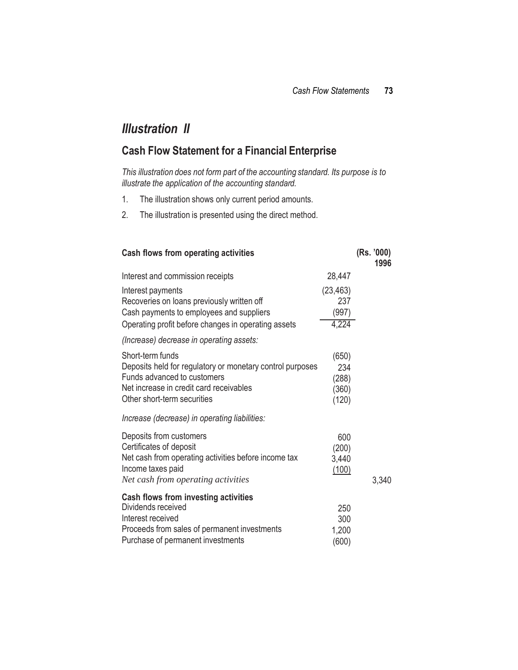# *Illustration II*

# **Cash Flow Statement for a Financial Enterprise**

*This illustration does not form part of the accounting standard. Its purpose is to illustrate the application of the accounting standard.*

- 1. The illustration shows only current period amounts.
- 2. The illustration is presented using the direct method.

| Cash flows from operating activities                                                            |                | (Rs. '000)<br>1996 |
|-------------------------------------------------------------------------------------------------|----------------|--------------------|
| Interest and commission receipts                                                                | 28,447         |                    |
| Interest payments                                                                               | (23, 463)      |                    |
| Recoveries on loans previously written off                                                      | 237            |                    |
| Cash payments to employees and suppliers<br>Operating profit before changes in operating assets | (997)<br>4,224 |                    |
| (Increase) decrease in operating assets:                                                        |                |                    |
| Short-term funds                                                                                | (650)          |                    |
| Deposits held for regulatory or monetary control purposes                                       | 234            |                    |
| Funds advanced to customers<br>Net increase in credit card receivables                          | (288)          |                    |
| Other short-term securities                                                                     | (360)<br>(120) |                    |
| Increase (decrease) in operating liabilities:                                                   |                |                    |
| Deposits from customers                                                                         | 600            |                    |
| Certificates of deposit                                                                         | (200)          |                    |
| Net cash from operating activities before income tax                                            | 3,440          |                    |
| Income taxes paid<br>Net cash from operating activities                                         | (100)          | 3,340              |
| <b>Cash flows from investing activities</b>                                                     |                |                    |
| Dividends received                                                                              | 250            |                    |
| Interest received                                                                               | 300            |                    |
| Proceeds from sales of permanent investments                                                    | 1,200          |                    |
| Purchase of permanent investments                                                               | (600)          |                    |